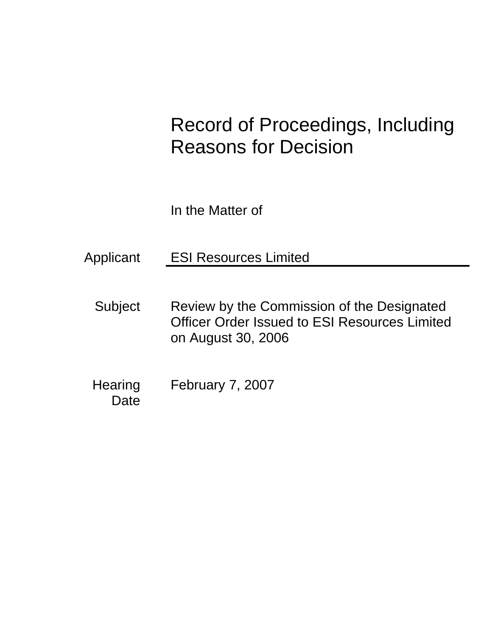# Record of Proceedings, Including Reasons for Decision

In the Matter of

Applicant ESI Resources Limited

- Subject Review by the Commission of the Designated Officer Order Issued to ESI Resources Limited on August 30, 2006
- Hearing February 7, 2007 **Date**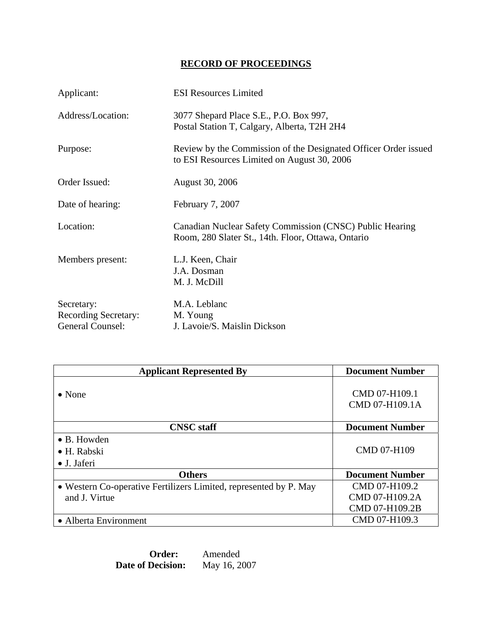# **RECORD OF PROCEEDINGS**

| Applicant:                                             | <b>ESI Resources Limited</b>                                                                                   |
|--------------------------------------------------------|----------------------------------------------------------------------------------------------------------------|
| Address/Location:                                      | 3077 Shepard Place S.E., P.O. Box 997,<br>Postal Station T, Calgary, Alberta, T2H 2H4                          |
| Purpose:                                               | Review by the Commission of the Designated Officer Order issued<br>to ESI Resources Limited on August 30, 2006 |
| Order Issued:                                          | August 30, 2006                                                                                                |
| Date of hearing:                                       | February 7, 2007                                                                                               |
| Location:                                              | Canadian Nuclear Safety Commission (CNSC) Public Hearing<br>Room, 280 Slater St., 14th. Floor, Ottawa, Ontario |
| Members present:                                       | L.J. Keen, Chair<br>J.A. Dosman<br>M. J. McDill                                                                |
| Secretary:<br>Recording Secretary:<br>General Counsel: | M.A. Leblanc<br>M. Young<br>J. Lavoie/S. Maislin Dickson                                                       |

| <b>Applicant Represented By</b>                                   | <b>Document Number</b>          |
|-------------------------------------------------------------------|---------------------------------|
| $\bullet$ None                                                    | CMD 07-H109.1<br>CMD 07-H109.1A |
| <b>CNSC</b> staff                                                 | <b>Document Number</b>          |
| • B. Howden                                                       |                                 |
| $\bullet$ H. Rabski                                               | <b>CMD 07-H109</b>              |
| • J. Jaferi                                                       |                                 |
| <b>Others</b>                                                     | <b>Document Number</b>          |
| • Western Co-operative Fertilizers Limited, represented by P. May | CMD 07-H109.2                   |
| and J. Virtue                                                     | CMD 07-H109.2A                  |
|                                                                   | CMD 07-H109.2B                  |
| • Alberta Environment                                             | CMD 07-H109.3                   |

 **Order:** Amended **Date of Decision:** May 16, 2007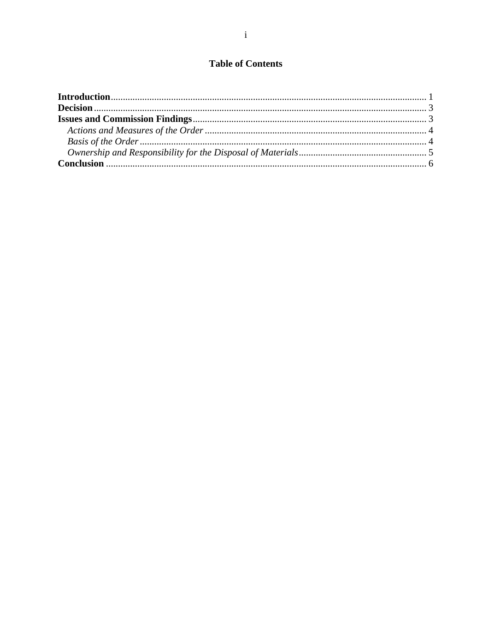# **Table of Contents**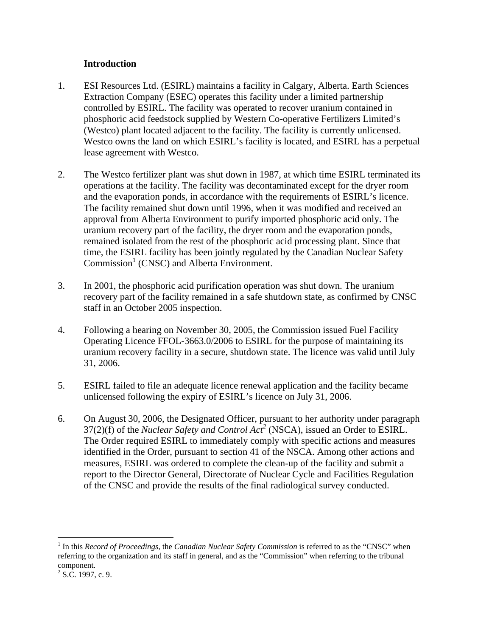## **Introduction**

- 1. ESI Resources Ltd. (ESIRL) maintains a facility in Calgary, Alberta. Earth Sciences Extraction Company (ESEC) operates this facility under a limited partnership controlled by ESIRL. The facility was operated to recover uranium contained in phosphoric acid feedstock supplied by Western Co-operative Fertilizers Limited's (Westco) plant located adjacent to the facility. The facility is currently unlicensed. Westco owns the land on which ESIRL's facility is located, and ESIRL has a perpetual lease agreement with Westco.
- 2. The Westco fertilizer plant was shut down in 1987, at which time ESIRL terminated its operations at the facility. The facility was decontaminated except for the dryer room and the evaporation ponds, in accordance with the requirements of ESIRL's licence. The facility remained shut down until 1996, when it was modified and received an approval from Alberta Environment to purify imported phosphoric acid only. The uranium recovery part of the facility, the dryer room and the evaporation ponds, remained isolated from the rest of the phosphoric acid processing plant. Since that time, the ESIRL facility has been jointly regulated by the Canadian Nuclear Safety Commission<sup>1</sup> (CNSC) and Alberta Environment.
- 3. In 2001, the phosphoric acid purification operation was shut down. The uranium recovery part of the facility remained in a safe shutdown state, as confirmed by CNSC staff in an October 2005 inspection.
- 4. Following a hearing on November 30, 2005, the Commission issued Fuel Facility Operating Licence FFOL-3663.0/2006 to ESIRL for the purpose of maintaining its uranium recovery facility in a secure, shutdown state. The licence was valid until July 31, 2006.
- 5. ESIRL failed to file an adequate licence renewal application and the facility became unlicensed following the expiry of ESIRL's licence on July 31, 2006.
- 6. On August 30, 2006, the Designated Officer, pursuant to her authority under paragraph  $37(2)(f)$  of the *Nuclear Safety and Control Act<sup>2</sup>* (NSCA), issued an Order to ESIRL. The Order required ESIRL to immediately comply with specific actions and measures identified in the Order, pursuant to section 41 of the NSCA. Among other actions and measures, ESIRL was ordered to complete the clean-up of the facility and submit a report to the Director General, Directorate of Nuclear Cycle and Facilities Regulation of the CNSC and provide the results of the final radiological survey conducted.

<u>.</u>

<sup>&</sup>lt;sup>1</sup> In this *Record of Proceedings,* the *Canadian Nuclear Safety Commission* is referred to as the "CNSC" when referring to the organization and its staff in general, and as the "Commission" when referring to the tribunal component.

 $2^2$  S.C. 1997, c. 9.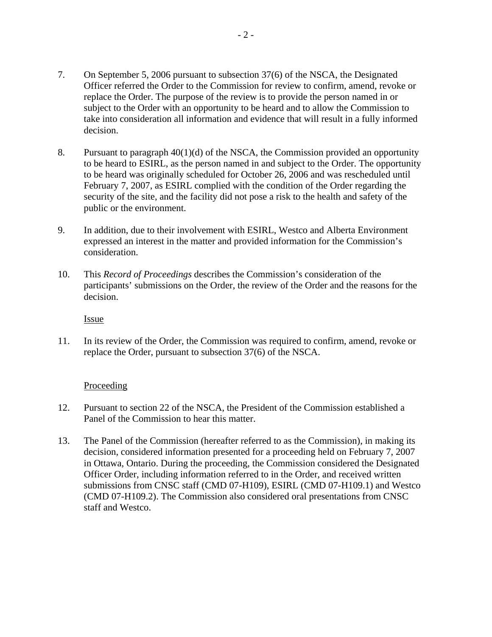- 7. On September 5, 2006 pursuant to subsection 37(6) of the NSCA, the Designated Officer referred the Order to the Commission for review to confirm, amend, revoke or replace the Order. The purpose of the review is to provide the person named in or subject to the Order with an opportunity to be heard and to allow the Commission to take into consideration all information and evidence that will result in a fully informed decision.
- 8. Pursuant to paragraph 40(1)(d) of the NSCA, the Commission provided an opportunity to be heard to ESIRL, as the person named in and subject to the Order. The opportunity to be heard was originally scheduled for October 26, 2006 and was rescheduled until February 7, 2007, as ESIRL complied with the condition of the Order regarding the security of the site, and the facility did not pose a risk to the health and safety of the public or the environment.
- 9. In addition, due to their involvement with ESIRL, Westco and Alberta Environment expressed an interest in the matter and provided information for the Commission's consideration.
- 10. This *Record of Proceedings* describes the Commission's consideration of the participants' submissions on the Order, the review of the Order and the reasons for the decision.

Issue

11. In its review of the Order, the Commission was required to confirm, amend, revoke or replace the Order, pursuant to subsection 37(6) of the NSCA.

#### Proceeding

- 12. Pursuant to section 22 of the NSCA, the President of the Commission established a Panel of the Commission to hear this matter.
- 13. The Panel of the Commission (hereafter referred to as the Commission), in making its decision, considered information presented for a proceeding held on February 7, 2007 in Ottawa, Ontario. During the proceeding, the Commission considered the Designated Officer Order, including information referred to in the Order, and received written submissions from CNSC staff (CMD 07-H109), ESIRL (CMD 07-H109.1) and Westco (CMD 07-H109.2). The Commission also considered oral presentations from CNSC staff and Westco.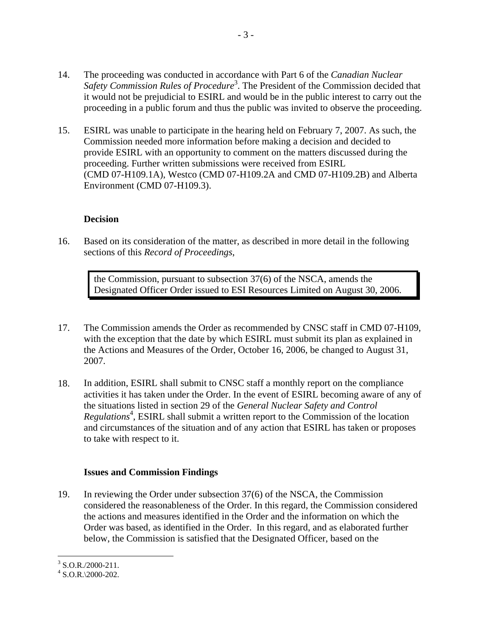- 14. The proceeding was conducted in accordance with Part 6 of the *Canadian Nuclear*  Safety Commission Rules of Procedure<sup>3</sup>. The President of the Commission decided that it would not be prejudicial to ESIRL and would be in the public interest to carry out the proceeding in a public forum and thus the public was invited to observe the proceeding.
- 15. ESIRL was unable to participate in the hearing held on February 7, 2007. As such, the Commission needed more information before making a decision and decided to provide ESIRL with an opportunity to comment on the matters discussed during the proceeding. Further written submissions were received from ESIRL (CMD 07-H109.1A), Westco (CMD 07-H109.2A and CMD 07-H109.2B) and Alberta Environment (CMD 07-H109.3).

## **Decision**

16. Based on its consideration of the matter, as described in more detail in the following sections of this *Record of Proceedings*,

the Commission, pursuant to subsection 37(6) of the NSCA, amends the Designated Officer Order issued to ESI Resources Limited on August 30, 2006.

- 17. The Commission amends the Order as recommended by CNSC staff in CMD 07-H109, with the exception that the date by which ESIRL must submit its plan as explained in the Actions and Measures of the Order, October 16, 2006, be changed to August 31, 2007.
- 18. In addition, ESIRL shall submit to CNSC staff a monthly report on the compliance activities it has taken under the Order. In the event of ESIRL becoming aware of any of the situations listed in section 29 of the *General Nuclear Safety and Control*  Regulations<sup>4</sup>, ESIRL shall submit a written report to the Commission of the location and circumstances of the situation and of any action that ESIRL has taken or proposes to take with respect to it.

## **Issues and Commission Findings**

19. In reviewing the Order under subsection 37(6) of the NSCA, the Commission considered the reasonableness of the Order. In this regard, the Commission considered the actions and measures identified in the Order and the information on which the Order was based, as identified in the Order. In this regard, and as elaborated further below, the Commission is satisfied that the Designated Officer, based on the

 $\overline{a}$ 

 $3$  S.O.R./2000-211.

 $4$  S.O.R. $\frac{2000 - 202}{.}$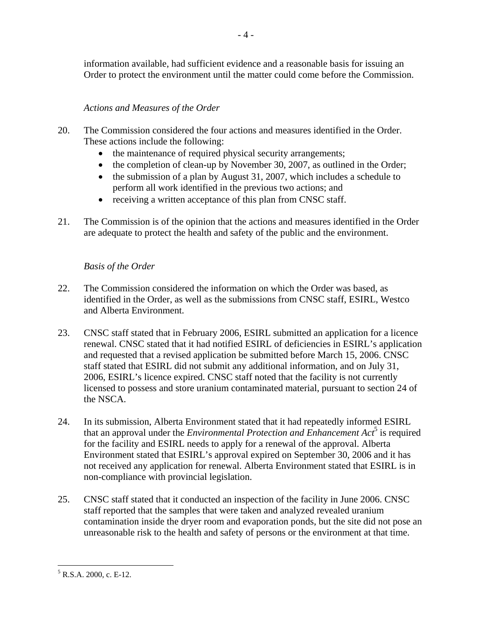information available, had sufficient evidence and a reasonable basis for issuing an Order to protect the environment until the matter could come before the Commission.

# *Actions and Measures of the Order*

- 20. The Commission considered the four actions and measures identified in the Order. These actions include the following:
	- the maintenance of required physical security arrangements;
	- the completion of clean-up by November 30, 2007, as outlined in the Order;
	- the submission of a plan by August 31, 2007, which includes a schedule to perform all work identified in the previous two actions; and
	- receiving a written acceptance of this plan from CNSC staff.
- 21. The Commission is of the opinion that the actions and measures identified in the Order are adequate to protect the health and safety of the public and the environment.

# *Basis of the Order*

- 22. The Commission considered the information on which the Order was based, as identified in the Order, as well as the submissions from CNSC staff, ESIRL, Westco and Alberta Environment.
- 23. CNSC staff stated that in February 2006, ESIRL submitted an application for a licence renewal. CNSC stated that it had notified ESIRL of deficiencies in ESIRL's application and requested that a revised application be submitted before March 15, 2006. CNSC staff stated that ESIRL did not submit any additional information, and on July 31, 2006, ESIRL's licence expired. CNSC staff noted that the facility is not currently licensed to possess and store uranium contaminated material, pursuant to section 24 of the NSCA.
- 24. In its submission, Alberta Environment stated that it had repeatedly informed ESIRL that an approval under the *Environmental Protection and Enhancement Act*<sup>5</sup> is required for the facility and ESIRL needs to apply for a renewal of the approval. Alberta Environment stated that ESIRL's approval expired on September 30, 2006 and it has not received any application for renewal. Alberta Environment stated that ESIRL is in non-compliance with provincial legislation.
- 25. CNSC staff stated that it conducted an inspection of the facility in June 2006. CNSC staff reported that the samples that were taken and analyzed revealed uranium contamination inside the dryer room and evaporation ponds, but the site did not pose an unreasonable risk to the health and safety of persons or the environment at that time.

 $\overline{a}$ 

 $<sup>5</sup>$  R.S.A. 2000, c. E-12.</sup>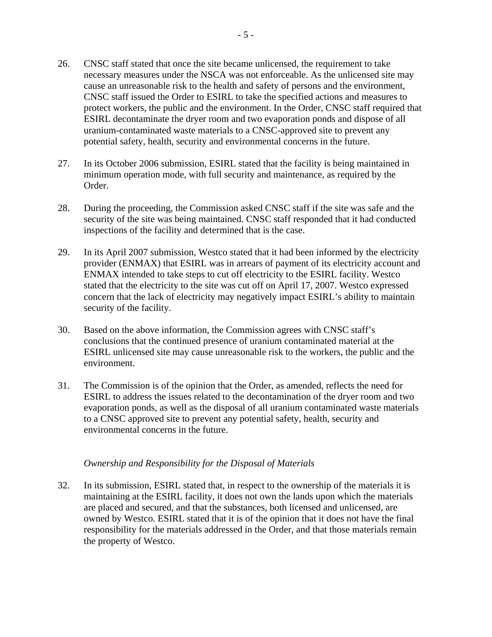- 26. CNSC staff stated that once the site became unlicensed, the requirement to take necessary measures under the NSCA was not enforceable. As the unlicensed site may cause an unreasonable risk to the health and safety of persons and the environment, CNSC staff issued the Order to ESIRL to take the specified actions and measures to protect workers, the public and the environment. In the Order, CNSC staff required that ESIRL decontaminate the dryer room and two evaporation ponds and dispose of all uranium-contaminated waste materials to a CNSC-approved site to prevent any potential safety, health, security and environmental concerns in the future.
- 27. In its October 2006 submission, ESIRL stated that the facility is being maintained in minimum operation mode, with full security and maintenance, as required by the Order.
- 28. During the proceeding, the Commission asked CNSC staff if the site was safe and the security of the site was being maintained. CNSC staff responded that it had conducted inspections of the facility and determined that is the case.
- 29. In its April 2007 submission, Westco stated that it had been informed by the electricity provider (ENMAX) that ESIRL was in arrears of payment of its electricity account and ENMAX intended to take steps to cut off electricity to the ESIRL facility. Westco stated that the electricity to the site was cut off on April 17, 2007. Westco expressed concern that the lack of electricity may negatively impact ESIRL's ability to maintain security of the facility.
- 30. Based on the above information, the Commission agrees with CNSC staff's conclusions that the continued presence of uranium contaminated material at the ESIRL unlicensed site may cause unreasonable risk to the workers, the public and the environment.
- 31. The Commission is of the opinion that the Order, as amended, reflects the need for ESIRL to address the issues related to the decontamination of the dryer room and two evaporation ponds, as well as the disposal of all uranium contaminated waste materials to a CNSC approved site to prevent any potential safety, health, security and environmental concerns in the future.

#### *Ownership and Responsibility for the Disposal of Materials*

32. In its submission, ESIRL stated that, in respect to the ownership of the materials it is maintaining at the ESIRL facility, it does not own the lands upon which the materials are placed and secured, and that the substances, both licensed and unlicensed, are owned by Westco. ESIRL stated that it is of the opinion that it does not have the final responsibility for the materials addressed in the Order, and that those materials remain the property of Westco.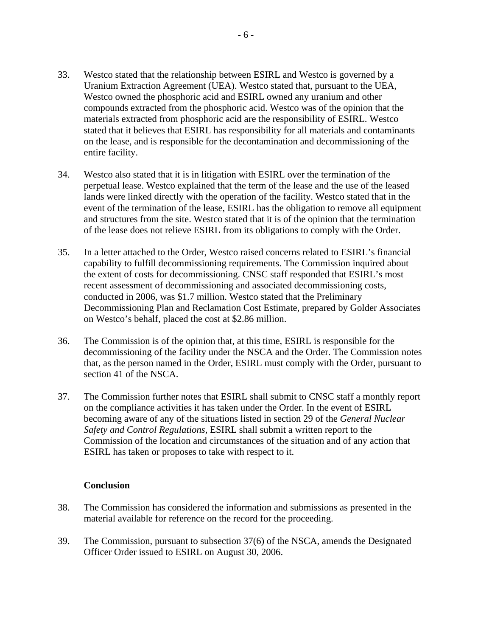- 33. Westco stated that the relationship between ESIRL and Westco is governed by a Uranium Extraction Agreement (UEA). Westco stated that, pursuant to the UEA, Westco owned the phosphoric acid and ESIRL owned any uranium and other compounds extracted from the phosphoric acid. Westco was of the opinion that the materials extracted from phosphoric acid are the responsibility of ESIRL. Westco stated that it believes that ESIRL has responsibility for all materials and contaminants on the lease, and is responsible for the decontamination and decommissioning of the entire facility.
- 34. Westco also stated that it is in litigation with ESIRL over the termination of the perpetual lease. Westco explained that the term of the lease and the use of the leased lands were linked directly with the operation of the facility. Westco stated that in the event of the termination of the lease, ESIRL has the obligation to remove all equipment and structures from the site. Westco stated that it is of the opinion that the termination of the lease does not relieve ESIRL from its obligations to comply with the Order.
- 35. In a letter attached to the Order, Westco raised concerns related to ESIRL's financial capability to fulfill decommissioning requirements. The Commission inquired about the extent of costs for decommissioning. CNSC staff responded that ESIRL's most recent assessment of decommissioning and associated decommissioning costs, conducted in 2006, was \$1.7 million. Westco stated that the Preliminary Decommissioning Plan and Reclamation Cost Estimate, prepared by Golder Associates on Westco's behalf, placed the cost at \$2.86 million.
- 36. The Commission is of the opinion that, at this time, ESIRL is responsible for the decommissioning of the facility under the NSCA and the Order. The Commission notes that, as the person named in the Order, ESIRL must comply with the Order, pursuant to section 41 of the NSCA.
- 37. The Commission further notes that ESIRL shall submit to CNSC staff a monthly report on the compliance activities it has taken under the Order. In the event of ESIRL becoming aware of any of the situations listed in section 29 of the *General Nuclear Safety and Control Regulations*, ESIRL shall submit a written report to the Commission of the location and circumstances of the situation and of any action that ESIRL has taken or proposes to take with respect to it.

#### **Conclusion**

- 38. The Commission has considered the information and submissions as presented in the material available for reference on the record for the proceeding.
- 39. The Commission, pursuant to subsection 37(6) of the NSCA, amends the Designated Officer Order issued to ESIRL on August 30, 2006.